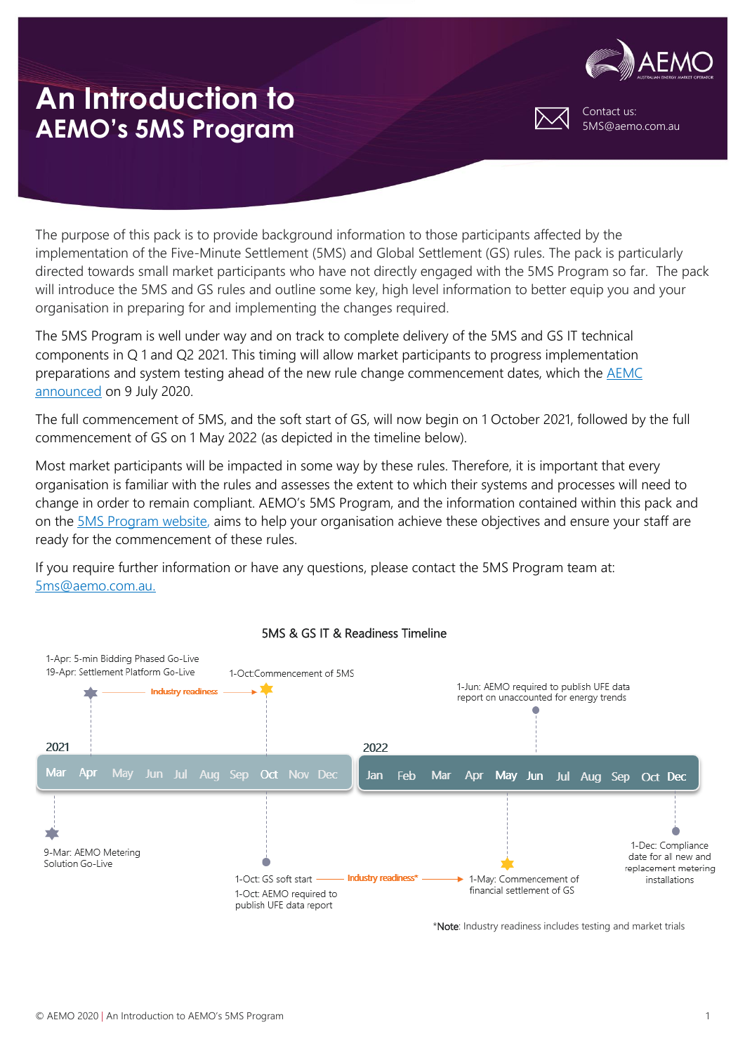

Contact us: 5MS@aemo.com.au

The purpose of this pack is to provide background information to those participants affected by the implementation of the Five-Minute Settlement (5MS) and Global Settlement (GS) rules. The pack is particularly directed towards small market participants who have not directly engaged with the 5MS Program so far. The pack will introduce the 5MS and GS rules and outline some key, high level information to better equip you and your organisation in preparing for and implementing the changes required.

The 5MS Program is well under way and on track to complete delivery of the 5MS and GS IT technical components in Q 1 and Q2 2021. This timing will allow market participants to progress implementation preparations and system testing ahead of the new rule change commencement dates, which the [AEMC](https://www.aemc.gov.au/rule-changes/delayed-implementation-five-minute-and-global-settlement)  [announced](https://www.aemc.gov.au/rule-changes/delayed-implementation-five-minute-and-global-settlement) on 9 July 2020.

The full commencement of 5MS, and the soft start of GS, will now begin on 1 October 2021, followed by the full commencement of GS on 1 May 2022 (as depicted in the timeline below).

Most market participants will be impacted in some way by these rules. Therefore, it is important that every organisation is familiar with the rules and assesses the extent to which their systems and processes will need to change in order to remain compliant. AEMO's 5MS Program, and the information contained within this pack and on the [5MS Program website,](https://aemo.com.au/initiatives/major-programs/nem-five-minute-settlement-program-and-global-settlement) aims to help your organisation achieve these objectives and ensure your staff are ready for the commencement of these rules.

If you require further information or have any questions, please contact the 5MS Program team at: [5ms@aemo.com.au.](mailto:5ms@aemo.com.au)



### 5MS & GS IT & Readiness Timeline

\*Note: Industry readiness includes testing and market trials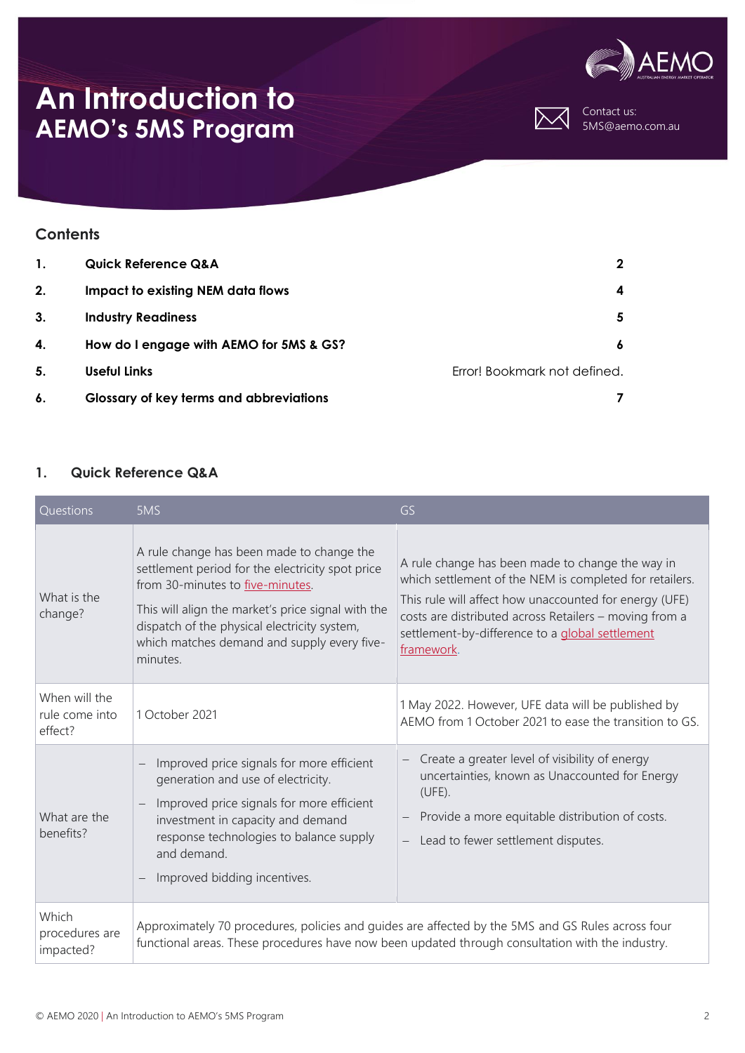



Contact us: 5MS@aemo.com.au

### **Contents**

| 1. | <b>Quick Reference Q&amp;A</b>                 | $\mathbf{2}$                 |
|----|------------------------------------------------|------------------------------|
| 2. | <b>Impact to existing NEM data flows</b>       | 4                            |
| 3. | <b>Industry Readiness</b>                      | 5                            |
| 4. | How do I engage with AEMO for 5MS & GS?        | 6                            |
| 5. | Useful Links                                   | Error! Bookmark not defined. |
| 6. | <b>Glossary of key terms and abbreviations</b> |                              |

#### <span id="page-1-0"></span>**1. Quick Reference Q&A**

| Questions                                  | 5MS                                                                                                                                                                                                                                                                                               | GS                                                                                                                                                                                                                                                                                               |
|--------------------------------------------|---------------------------------------------------------------------------------------------------------------------------------------------------------------------------------------------------------------------------------------------------------------------------------------------------|--------------------------------------------------------------------------------------------------------------------------------------------------------------------------------------------------------------------------------------------------------------------------------------------------|
| What is the<br>change?                     | A rule change has been made to change the<br>settlement period for the electricity spot price<br>from 30-minutes to five-minutes.<br>This will align the market's price signal with the<br>dispatch of the physical electricity system,<br>which matches demand and supply every five-<br>minutes | A rule change has been made to change the way in<br>which settlement of the NEM is completed for retailers.<br>This rule will affect how unaccounted for energy (UFE)<br>costs are distributed across Retailers - moving from a<br>settlement-by-difference to a global settlement<br>framework. |
| When will the<br>rule come into<br>effect? | 1 October 2021                                                                                                                                                                                                                                                                                    | 1 May 2022. However, UFE data will be published by<br>AEMO from 1 October 2021 to ease the transition to GS.                                                                                                                                                                                     |
| What are the<br>benefits?                  | Improved price signals for more efficient<br>generation and use of electricity.<br>Improved price signals for more efficient<br>investment in capacity and demand<br>response technologies to balance supply<br>and demand.<br>Improved bidding incentives.<br>$\qquad \qquad -$                  | Create a greater level of visibility of energy<br>uncertainties, known as Unaccounted for Energy<br>$(UFE)$ .<br>Provide a more equitable distribution of costs.<br>Lead to fewer settlement disputes.                                                                                           |
| Which<br>procedures are<br>impacted?       | Approximately 70 procedures, policies and guides are affected by the 5MS and GS Rules across four<br>functional areas. These procedures have now been updated through consultation with the industry.                                                                                             |                                                                                                                                                                                                                                                                                                  |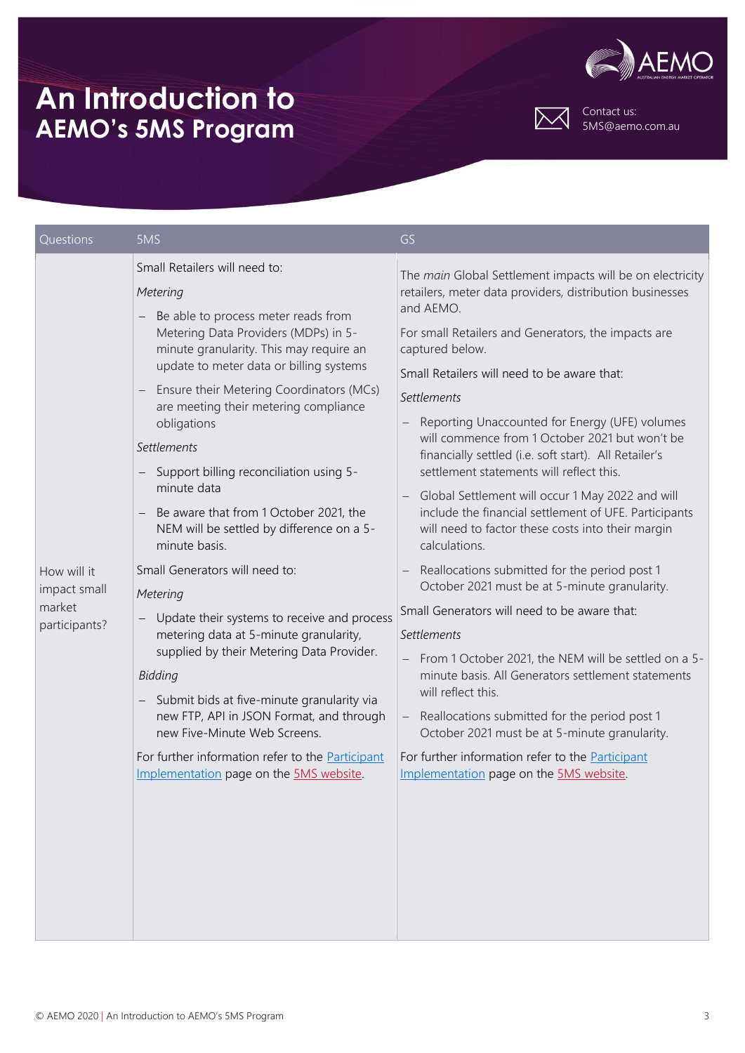



Contact us: 5MS@aemo.com.au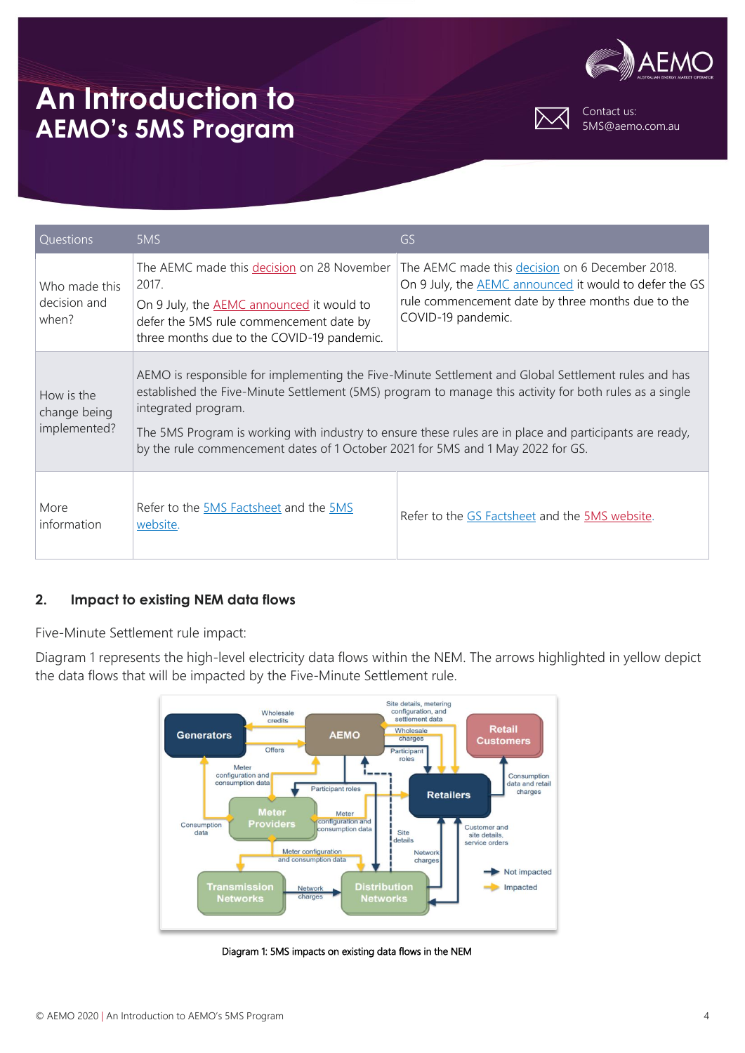



Contact us: 5MS@aemo.com.au

| <b>Questions</b>                           | 5MS                                                                                                                                                                                                                                                                                                                                                                                                                                 | GS                                                                                                                                                                                          |  |
|--------------------------------------------|-------------------------------------------------------------------------------------------------------------------------------------------------------------------------------------------------------------------------------------------------------------------------------------------------------------------------------------------------------------------------------------------------------------------------------------|---------------------------------------------------------------------------------------------------------------------------------------------------------------------------------------------|--|
| Who made this<br>decision and<br>when?     | The AEMC made this decision on 28 November<br>2017.<br>On 9 July, the AEMC announced it would to<br>defer the 5MS rule commencement date by<br>three months due to the COVID-19 pandemic.                                                                                                                                                                                                                                           | The AEMC made this decision on 6 December 2018.<br>On 9 July, the <b>AEMC</b> announced it would to defer the GS<br>rule commencement date by three months due to the<br>COVID-19 pandemic. |  |
| How is the<br>change being<br>implemented? | AEMO is responsible for implementing the Five-Minute Settlement and Global Settlement rules and has<br>established the Five-Minute Settlement (5MS) program to manage this activity for both rules as a single<br>integrated program.<br>The 5MS Program is working with industry to ensure these rules are in place and participants are ready,<br>by the rule commencement dates of 1 October 2021 for 5MS and 1 May 2022 for GS. |                                                                                                                                                                                             |  |
| More<br>information                        | Refer to the 5MS Factsheet and the 5MS<br>website.                                                                                                                                                                                                                                                                                                                                                                                  | Refer to the GS Factsheet and the 5MS website.                                                                                                                                              |  |

### <span id="page-3-0"></span>**2. Impact to existing NEM data flows**

Five-Minute Settlement rule impact:

Diagram 1 represents the high-level electricity data flows within the NEM. The arrows highlighted in yellow depict the data flows that will be impacted by the Five-Minute Settlement rule.



Diagram 1: 5MS impacts on existing data flows in the NEM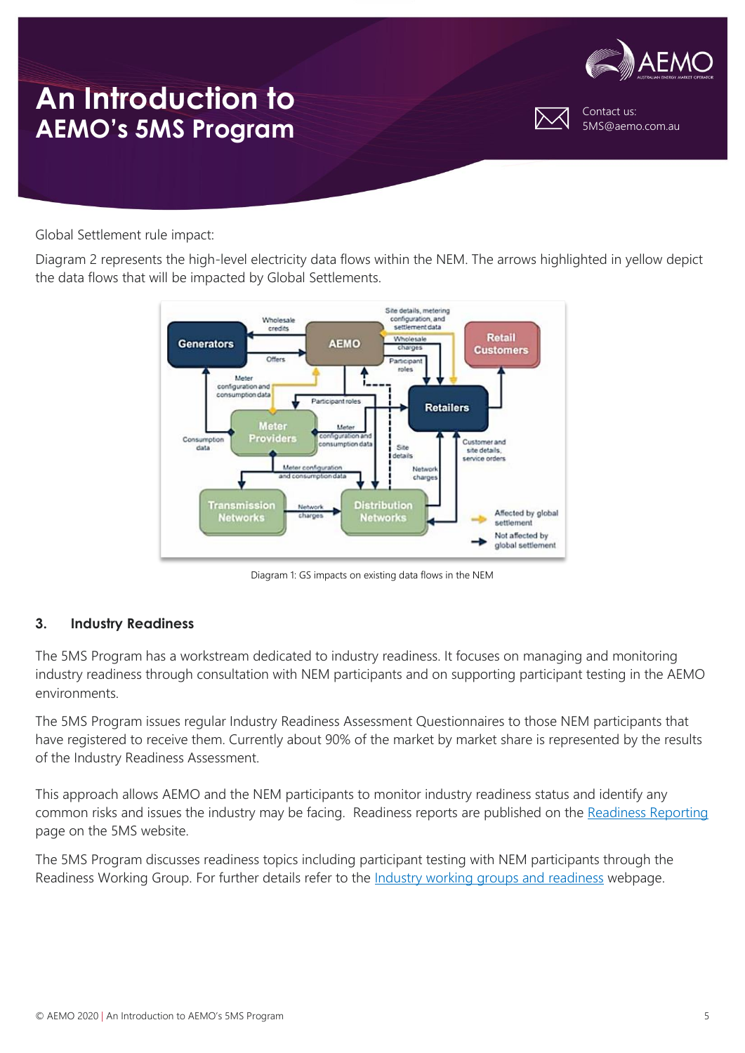

Contact us: 5MS@aemo.com.au

Global Settlement rule impact:

Diagram 2 represents the high-level electricity data flows within the NEM. The arrows highlighted in yellow depict the data flows that will be impacted by Global Settlements.



Diagram 1: GS impacts on existing data flows in the NEM

### <span id="page-4-0"></span>**3. Industry Readiness**

The 5MS Program has a workstream dedicated to industry readiness. It focuses on managing and monitoring industry readiness through consultation with NEM participants and on supporting participant testing in the AEMO environments.

The 5MS Program issues regular Industry Readiness Assessment Questionnaires to those NEM participants that have registered to receive them. Currently about 90% of the market by market share is represented by the results of the Industry Readiness Assessment.

This approach allows AEMO and the NEM participants to monitor industry readiness status and identify any common risks and issues the industry may be facing. Readiness reports are published on the [Readiness Reporting](https://www.aemo.com.au/initiatives/major-programs/nem-five-minute-settlement-program-and-global-settlement/industry-working-groups-and-readiness/readiness-reporting) page on the 5MS website.

The 5MS Program discusses readiness topics including participant testing with NEM participants through the Readiness Working Group. For further details refer to the [Industry working groups and readiness](https://www.aemo.com.au/initiatives/major-programs/nem-five-minute-settlement-program-and-global-settlement/industry-working-groups-and-readiness) webpage.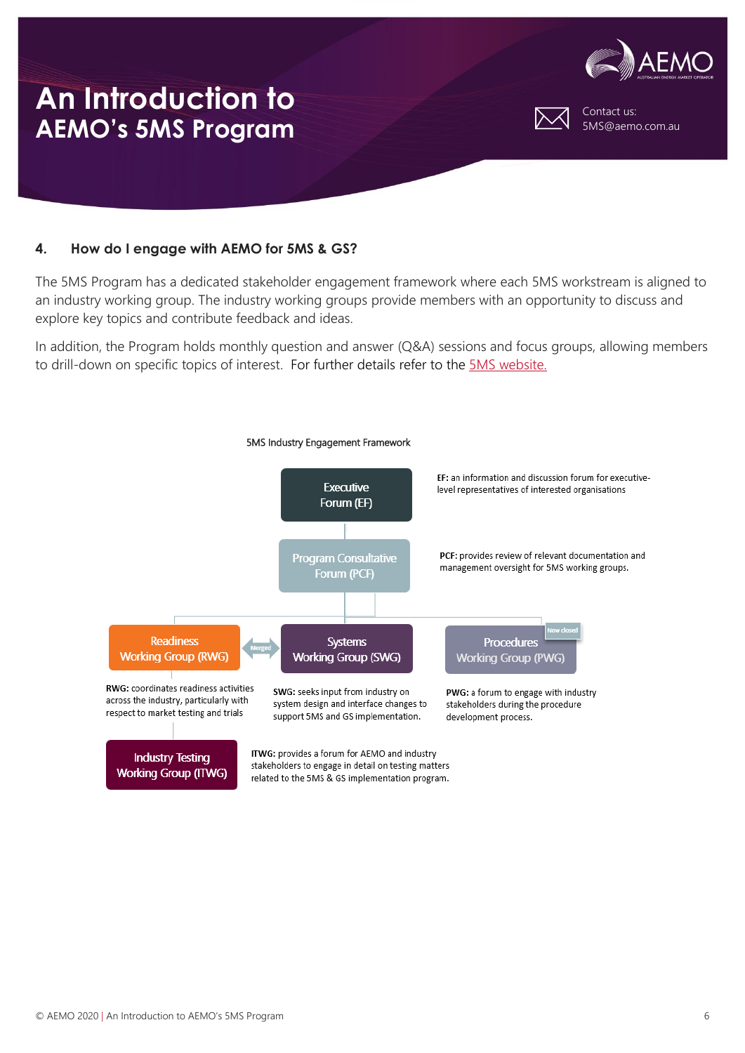

#### <span id="page-5-0"></span>**4. How do I engage with AEMO for 5MS & GS?**

The 5MS Program has a dedicated stakeholder engagement framework where each 5MS workstream is aligned to an industry working group. The industry working groups provide members with an opportunity to discuss and explore key topics and contribute feedback and ideas.

In addition, the Program holds monthly question and answer (Q&A) sessions and focus groups, allowing members to drill-down on specific topics of interest. For further details refer to the [5MS website.](https://aemo.com.au/initiatives/major-programs/nem-five-minute-settlement-program-and-global-settlement)

<span id="page-5-1"></span>